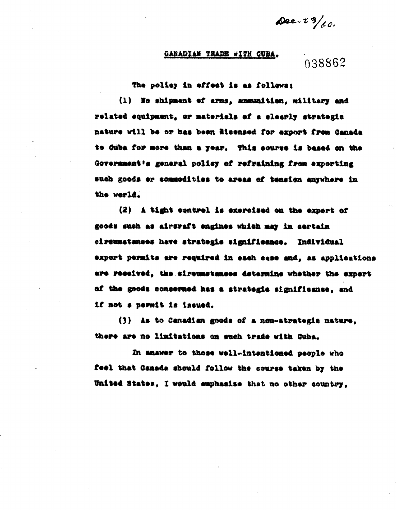$\Delta 22.73/60.$ 

## **GARADIAN TRADE WITH CUBA.**

## 038862

The policy in effect is as follows:

(1) No shipment of arms, ammunition, military and related equipment, or materials of a clearly strategic nature will be or has been dicensed for export from Canada to Guba for more than a year. This course is based on the Government's general policy of refraining from exporting such goods er commodities to areas of tension anywhere in the werld.

(2) A tight control is exercised on the expert of goods such as aircraft engines which may in certain circumstances have strategic significance. Individual export permits are required in each case and, as applications are received, the circumstances determine whether the export of the goods concerned has a strategic significance, and if not a permit is issued.

(3) As to Canadian goods of a non-strategic nature. there are no limitations on such trade with Guba.

In answer to those well-intentioned people who feel that Canada should follow the course taken by the United States. I would emphasise that no other country,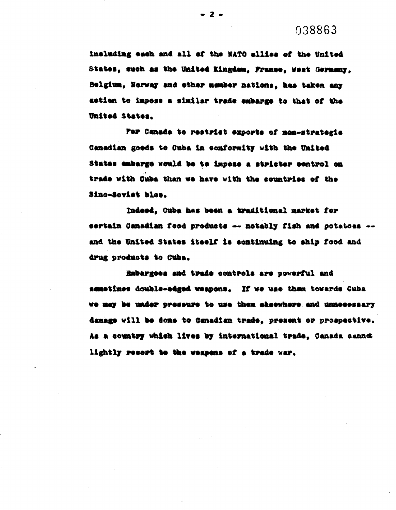038863

including each and all of the NATO allies of the United States, such as the United Kingdom, France, West Germany. Belgium, Norway and other member nations, has taken any astion to impose a similar trade embarge to that of the United States.

For Canada to restrict exports of non-strategie Canadian goods to Cuba in conformity with the United States embarge would be to impess a stricter sontrol on trade with Cuba than we have with the countries of the Sino-Soviet blos.

Indeed, Ouba has been a traditional market for sertain Canadian food products -- notably fish and potatoes -and the United States itself is continuing to ship food and drug products to Cuba.

Embargees and trade controls are powerful and sometimes double-edged weapons. If we use them towards Cuba we may be under pressure to use them eksewhere and unnecessary damage will be done to Ganadian trade, present or prospective. As a country which lives by international trade, Canada cannot lightly resort to the weapons of a trade war.

 $-2-$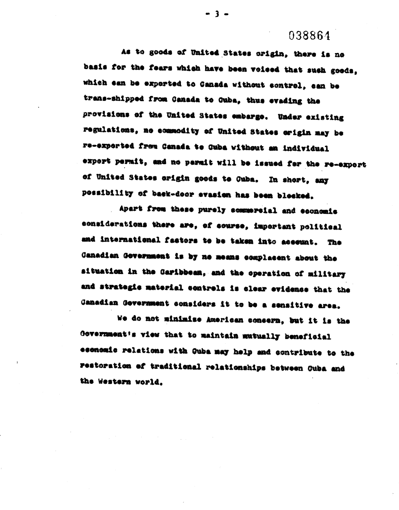## 038864

As to goods of United States origin, there is no basis for the fears which have been voiced that such goods, which can be exported to Canada without control, can be trans-shipped from Canada to Guba, thus evading the provisions of the United States embarge. Under existing regulations, no commodity of United States origin may be re-experted from Canada to Cuba without an individual expert permit, and no permit will be issued for the re-expert of United States origin goods to Cuba. In short, any possibility of back-door evasion has been blocked.

Apart from these purely commercial and economic considerations there are, of course, important political and international factors to be taken into account. The Canadian Government is by no means complacent about the aituation in the Caribbean, and the operation of military and strategic material controls is clear evidence that the Canadian Government considers it to be a sensitive area.

We do not minimise American consern, but it is the Government's view that to maintain mutually beneficial economic relations with Guba may help and contribute to the restoration of traditional relationships between Guba and the Western world.

 $-3 -$